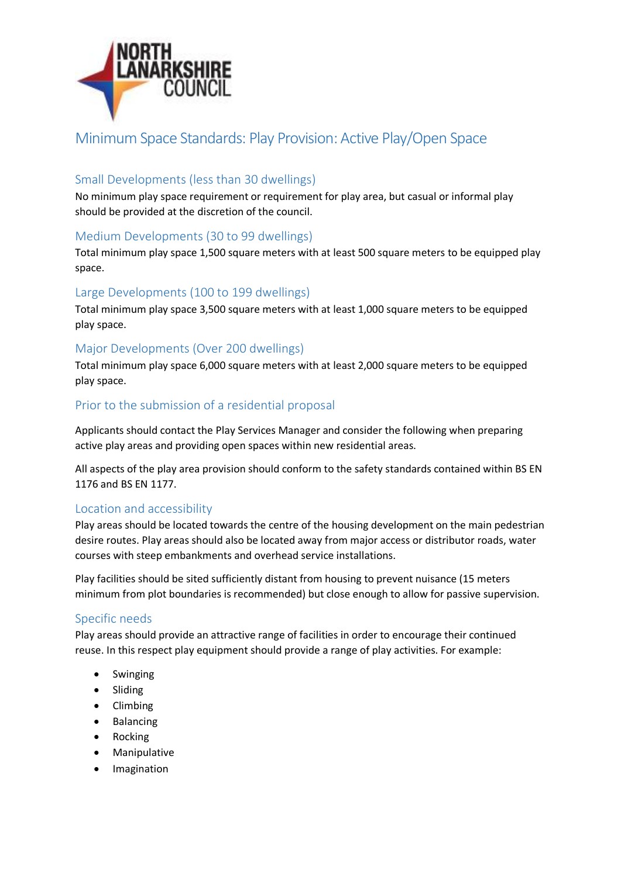

# Minimum Space Standards: Play Provision: Active Play/Open Space

#### Small Developments (less than 30 dwellings)

No minimum play space requirement or requirement for play area, but casual or informal play should be provided at the discretion of the council.

### Medium Developments (30 to 99 dwellings)

Total minimum play space 1,500 square meters with at least 500 square meters to be equipped play space.

#### Large Developments (100 to 199 dwellings)

Total minimum play space 3,500 square meters with at least 1,000 square meters to be equipped play space.

#### Major Developments (Over 200 dwellings)

Total minimum play space 6,000 square meters with at least 2,000 square meters to be equipped play space.

#### Prior to the submission of a residential proposal

Applicants should contact the Play Services Manager and consider the following when preparing active play areas and providing open spaces within new residential areas.

All aspects of the play area provision should conform to the safety standards contained within BS EN 1176 and BS EN 1177.

#### Location and accessibility

Play areas should be located towards the centre of the housing development on the main pedestrian desire routes. Play areas should also be located away from major access or distributor roads, water courses with steep embankments and overhead service installations.

Play facilities should be sited sufficiently distant from housing to prevent nuisance (15 meters minimum from plot boundaries is recommended) but close enough to allow for passive supervision.

## Specific needs

Play areas should provide an attractive range of facilities in order to encourage their continued reuse. In this respect play equipment should provide a range of play activities. For example:

- Swinging
- Sliding
- Climbing
- Balancing
- Rocking
- Manipulative
- Imagination